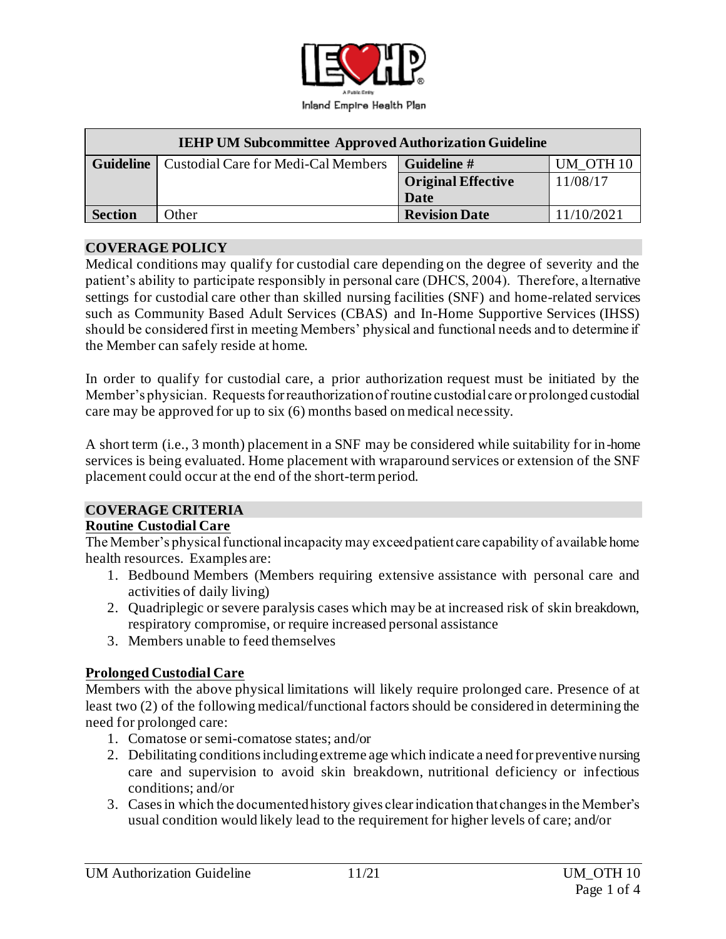

| <b>IEHP UM Subcommittee Approved Authorization Guideline</b> |                                     |                           |                      |
|--------------------------------------------------------------|-------------------------------------|---------------------------|----------------------|
| <b>Guideline</b>                                             | Custodial Care for Medi-Cal Members | Guideline #               | UM OTH <sub>10</sub> |
|                                                              |                                     | <b>Original Effective</b> | 11/08/17             |
|                                                              |                                     | Date                      |                      |
| <b>Section</b>                                               | Other                               | <b>Revision Date</b>      | 11/10/2021           |

#### **COVERAGE POLICY**

Medical conditions may qualify for custodial care depending on the degree of severity and the patient's ability to participate responsibly in personal care (DHCS, 2004). Therefore, a lternative settings for custodial care other than skilled nursing facilities (SNF) and home-related services such as Community Based Adult Services (CBAS) and In-Home Supportive Services (IHSS) should be considered first in meeting Members' physical and functional needs and to determine if the Member can safely reside at home.

In order to qualify for custodial care, a prior authorization request must be initiated by the Member's physician. Requests for reauthorization of routine custodial care or prolonged custodial care may be approved for up to six (6) months based on medical necessity.

A short term (i.e., 3 month) placement in a SNF may be considered while suitability for in-home services is being evaluated. Home placement with wraparound services or extension of the SNF placement could occur at the end of the short-term period.

## **COVERAGE CRITERIA**

#### **Routine Custodial Care**

The Member's physical functional incapacity may exceed patient care capability of available home health resources. Examples are:

- 1. Bedbound Members (Members requiring extensive assistance with personal care and activities of daily living)
- 2. Quadriplegic or severe paralysis cases which may be at increased risk of skin breakdown, respiratory compromise, or require increased personal assistance
- 3. Members unable to feed themselves

### **Prolonged Custodial Care**

Members with the above physical limitations will likely require prolonged care. Presence of at least two (2) of the following medical/functional factors should be considered in determining the need for prolonged care:

- 1. Comatose or semi-comatose states; and/or
- 2. Debilitating conditions including extreme age which indicate a need for preventive nursing care and supervision to avoid skin breakdown, nutritional deficiency or infectious conditions; and/or
- 3. Cases in which the documented history gives clear indication that changes in the Member's usual condition would likely lead to the requirement for higher levels of care; and/or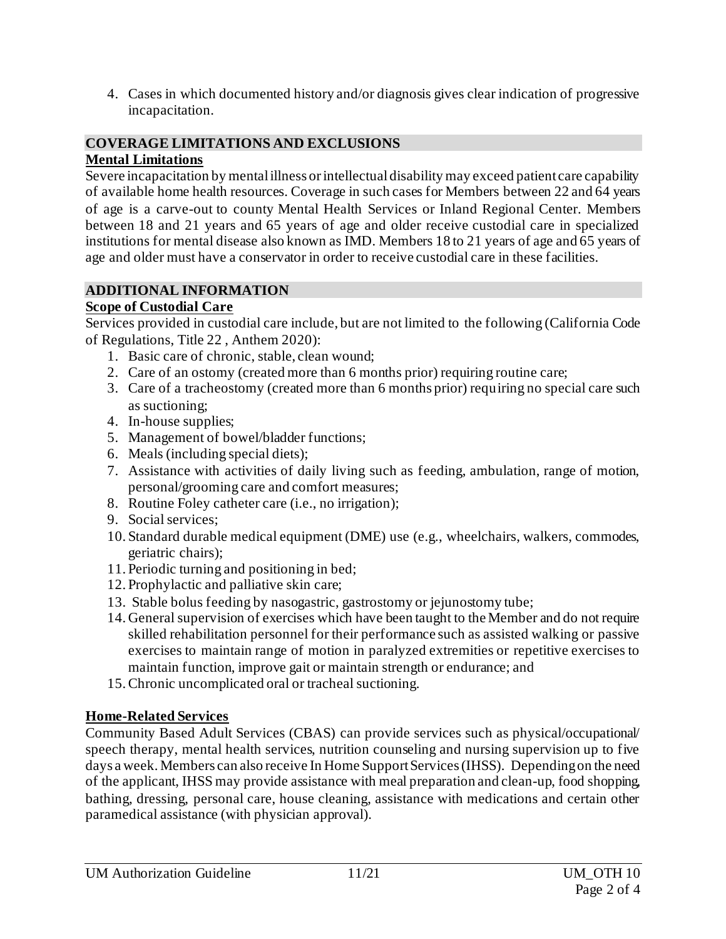4. Cases in which documented history and/or diagnosis gives clear indication of progressive incapacitation.

#### **COVERAGE LIMITATIONS AND EXCLUSIONS Mental Limitations**

Severe incapacitation by mental illness or intellectual disability may exceed patient care capability of available home health resources. Coverage in such cases for Members between 22 and 64 years of age is a carve-out to county Mental Health Services or Inland Regional Center. Members between 18 and 21 years and 65 years of age and older receive custodial care in specialized institutions for mental disease also known as IMD. Members 18 to 21 years of age and 65 years of age and older must have a conservator in order to receive custodial care in these facilities.

# **ADDITIONAL INFORMATION**

# **Scope of Custodial Care**

Services provided in custodial care include, but are not limited to the following (California Code of Regulations, Title 22 , Anthem 2020):

- 1. Basic care of chronic, stable, clean wound;
- 2. Care of an ostomy (created more than 6 months prior) requiring routine care;
- 3. Care of a tracheostomy (created more than 6 months prior) requiring no special care such as suctioning;
- 4. In-house supplies;
- 5. Management of bowel/bladder functions;
- 6. Meals (including special diets);
- 7. Assistance with activities of daily living such as feeding, ambulation, range of motion, personal/grooming care and comfort measures;
- 8. Routine Foley catheter care (i.e., no irrigation);
- 9. Social services;
- 10. Standard durable medical equipment (DME) use (e.g., wheelchairs, walkers, commodes, geriatric chairs);
- 11. Periodic turning and positioning in bed;
- 12. Prophylactic and palliative skin care;
- 13. Stable bolus feeding by nasogastric, gastrostomy or jejunostomy tube;
- 14. General supervision of exercises which have been taught to the Member and do not require skilled rehabilitation personnel for their performance such as assisted walking or passive exercises to maintain range of motion in paralyzed extremities or repetitive exercises to maintain function, improve gait or maintain strength or endurance; and
- 15.Chronic uncomplicated oral or tracheal suctioning.

# **Home-Related Services**

Community Based Adult Services (CBAS) can provide services such as physical/occupational/ speech therapy, mental health services, nutrition counseling and nursing supervision up to five days a week. Members can also receive In Home Support Services (IHSS). Depending on the need of the applicant, IHSS may provide assistance with meal preparation and clean-up, food shopping, bathing, dressing, personal care, house cleaning, assistance with medications and certain other paramedical assistance (with physician approval).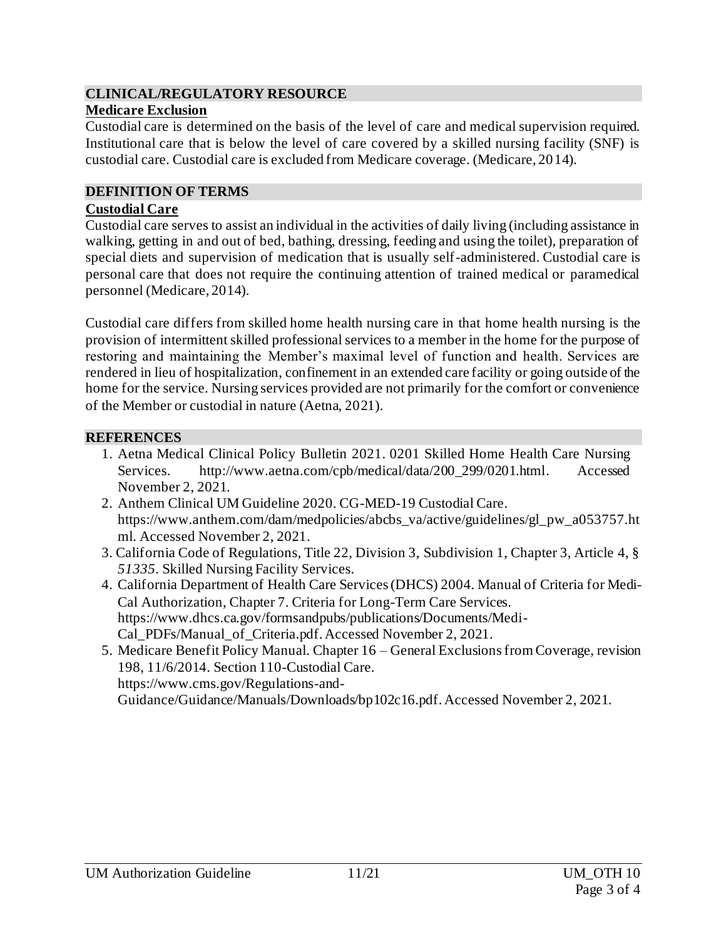### **CLINICAL/REGULATORY RESOURCE Medicare Exclusion**

Custodial care is determined on the basis of the level of care and medical supervision required. Institutional care that is below the level of care covered by a skilled nursing facility (SNF) is custodial care. Custodial care is excluded from Medicare coverage. (Medicare, 2014).

## **DEFINITION OF TERMS**

### **Custodial Care**

Custodial care serves to assist an individual in the activities of daily living (including assistance in walking, getting in and out of bed, bathing, dressing, feeding and using the toilet), preparation of special diets and supervision of medication that is usually self-administered. Custodial care is personal care that does not require the continuing attention of trained medical or paramedical personnel (Medicare, 2014).

Custodial care differs from skilled home health nursing care in that home health nursing is the provision of intermittent skilled professional services to a member in the home for the purpose of restoring and maintaining the Member's maximal level of function and health. Services are rendered in lieu of hospitalization, confinement in an extended care facility or going outside of the home for the service. Nursing services provided are not primarily for the comfort or convenience of the Member or custodial in nature (Aetna, 2021).

## **REFERENCES**

- 1. Aetna Medical Clinical Policy Bulletin 2021. 0201 Skilled Home Health Care Nursing Services. [http://www.aetna.com/cpb/medical/data/200\\_299/0201.html](http://www.aetna.com/cpb/medical/data/200_299/0201.html). Accessed November 2, 2021.
- 2. Anthem Clinical UM Guideline 2020. CG-MED-19 Custodial Care. https://www.anthem.com/dam/medpolicies/abcbs\_va/active/guidelines/gl\_pw\_a053757.ht ml. Accessed November 2, 2021.
- 3. California Code of Regulations, Title 22, Division 3, Subdivision 1, Chapter 3, Article 4, § *51335.* Skilled Nursing Facility Services.
- 4. California Department of Health Care Services (DHCS) 2004. Manual of Criteria for Medi-Cal Authorization, Chapter 7. Criteria for Long-Term Care Services. [https://www.dhcs.ca.gov/formsandpubs/publications/Documents/Medi-](https://www.dhcs.ca.gov/formsandpubs/publications/Documents/Medi-Cal_PDFs/Manual_of_Criteria.pdf)[Cal\\_PDFs/Manual\\_of\\_Criteria.pdf](https://www.dhcs.ca.gov/formsandpubs/publications/Documents/Medi-Cal_PDFs/Manual_of_Criteria.pdf). Accessed November 2, 2021.
- 5. Medicare Benefit Policy Manual. Chapter 16 General Exclusions from Coverage, revision 198, 11/6/2014. Section 110-Custodial Care. [https://www.cms.gov/Regulations-and-](https://www.cms.gov/Regulations-and-Guidance/Guidance/Manuals/Downloads/bp102c16.pdf)[Guidance/Guidance/Manuals/Downloads/bp102c16.pdf](https://www.cms.gov/Regulations-and-Guidance/Guidance/Manuals/Downloads/bp102c16.pdf). Accessed November 2, 2021.